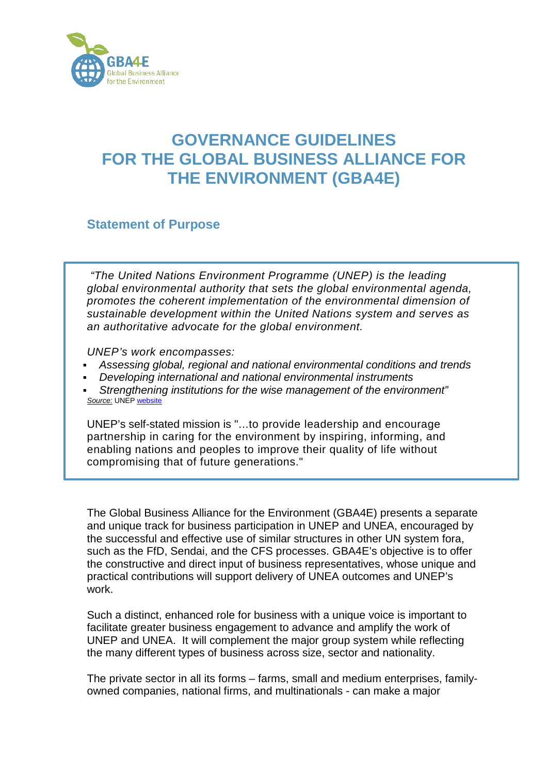

## **GOVERNANCE GUIDELINES FOR THE GLOBAL BUSINESS ALLIANCE FOR THE ENVIRONMENT (GBA4E)**

**Statement of Purpose**

*"The United Nations Environment Programme (UNEP) is the leading global environmental authority that sets the global environmental agenda, promotes the coherent implementation of the environmental dimension of sustainable development within the United Nations system and serves as an authoritative advocate for the global environment.*

*UNEP's work encompasses:*

- *Assessing global, regional and national environmental conditions and trends*
- *Developing international and national environmental instruments*
- *Strengthening institutions for the wise management of the environment" Source:* UNEP [website](mailto:http://www.unep.org/about/)

UNEP's self-stated mission is "...to provide leadership and encourage partnership in caring for the environment by inspiring, informing, and enabling nations and peoples to improve their quality of life without compromising that of future generations."

The Global Business Alliance for the Environment (GBA4E) presents a separate and unique track for business participation in UNEP and UNEA, encouraged by the successful and effective use of similar structures in other UN system fora, such as the FfD, Sendai, and the CFS processes. GBA4E's objective is to offer the constructive and direct input of business representatives, whose unique and practical contributions will support delivery of UNEA outcomes and UNEP's work.

Such a distinct, enhanced role for business with a unique voice is important to facilitate greater business engagement to advance and amplify the work of UNEP and UNEA. It will complement the major group system while reflecting the many different types of business across size, sector and nationality.

The private sector in all its forms – farms, small and medium enterprises, familyowned companies, national firms, and multinationals - can make a major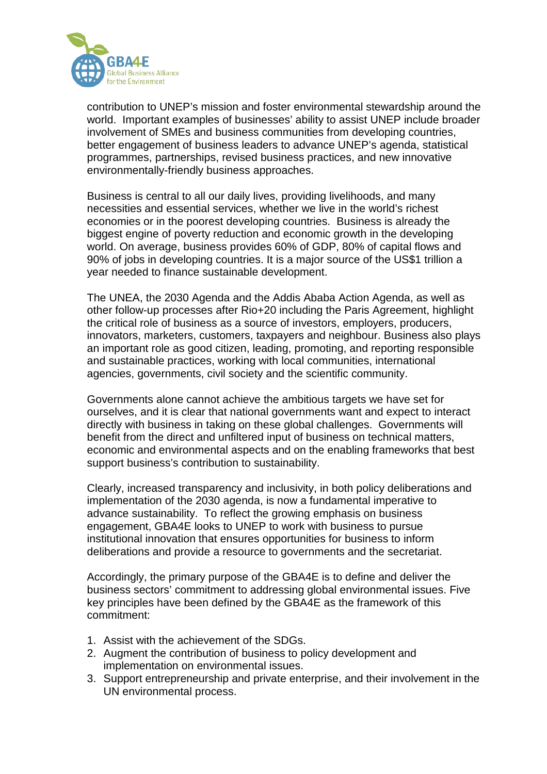

contribution to UNEP's mission and foster environmental stewardship around the world. Important examples of businesses' ability to assist UNEP include broader involvement of SMEs and business communities from developing countries, better engagement of business leaders to advance UNEP's agenda, statistical programmes, partnerships, revised business practices, and new innovative environmentally-friendly business approaches.

Business is central to all our daily lives, providing livelihoods, and many necessities and essential services, whether we live in the world's richest economies or in the poorest developing countries. Business is already the biggest engine of poverty reduction and economic growth in the developing world. On average, business provides 60% of GDP, 80% of capital flows and 90% of jobs in developing countries. It is a major source of the US\$1 trillion a year needed to finance sustainable development.

The UNEA, the 2030 Agenda and the Addis Ababa Action Agenda, as well as other follow-up processes after Rio+20 including the Paris Agreement, highlight the critical role of business as a source of investors, employers, producers, innovators, marketers, customers, taxpayers and neighbour. Business also plays an important role as good citizen, leading, promoting, and reporting responsible and sustainable practices, working with local communities, international agencies, governments, civil society and the scientific community.

Governments alone cannot achieve the ambitious targets we have set for ourselves, and it is clear that national governments want and expect to interact directly with business in taking on these global challenges. Governments will benefit from the direct and unfiltered input of business on technical matters, economic and environmental aspects and on the enabling frameworks that best support business's contribution to sustainability.

Clearly, increased transparency and inclusivity, in both policy deliberations and implementation of the 2030 agenda, is now a fundamental imperative to advance sustainability. To reflect the growing emphasis on business engagement, GBA4E looks to UNEP to work with business to pursue institutional innovation that ensures opportunities for business to inform deliberations and provide a resource to governments and the secretariat.

Accordingly, the primary purpose of the GBA4E is to define and deliver the business sectors' commitment to addressing global environmental issues. Five key principles have been defined by the GBA4E as the framework of this commitment:

- 1. Assist with the achievement of the SDGs.
- 2. Augment the contribution of business to policy development and implementation on environmental issues.
- 3. Support entrepreneurship and private enterprise, and their involvement in the UN environmental process.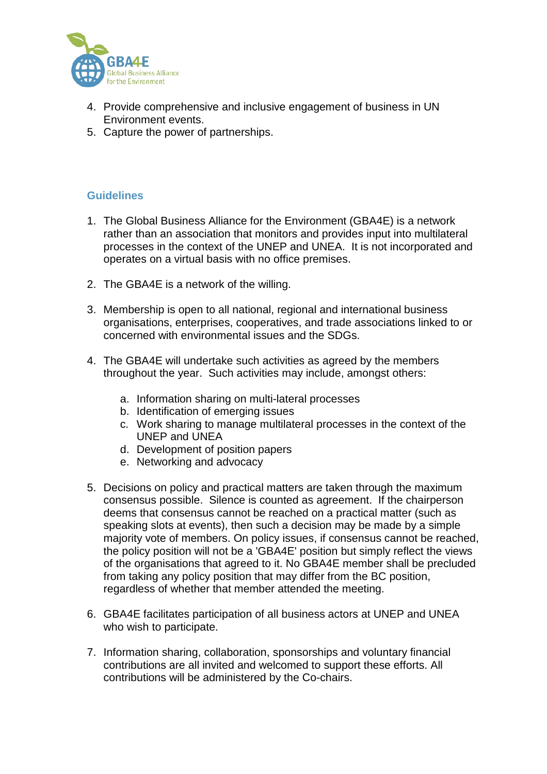

- 4. Provide comprehensive and inclusive engagement of business in UN Environment events.
- 5. Capture the power of partnerships.

## **Guidelines**

- 1. The Global Business Alliance for the Environment (GBA4E) is a network rather than an association that monitors and provides input into multilateral processes in the context of the UNEP and UNEA. It is not incorporated and operates on a virtual basis with no office premises.
- 2. The GBA4E is a network of the willing.
- 3. Membership is open to all national, regional and international business organisations, enterprises, cooperatives, and trade associations linked to or concerned with environmental issues and the SDGs.
- 4. The GBA4E will undertake such activities as agreed by the members throughout the year. Such activities may include, amongst others:
	- a. Information sharing on multi-lateral processes
	- b. Identification of emerging issues
	- c. Work sharing to manage multilateral processes in the context of the UNEP and UNEA
	- d. Development of position papers
	- e. Networking and advocacy
- 5. Decisions on policy and practical matters are taken through the maximum consensus possible. Silence is counted as agreement. If the chairperson deems that consensus cannot be reached on a practical matter (such as speaking slots at events), then such a decision may be made by a simple majority vote of members. On policy issues, if consensus cannot be reached, the policy position will not be a 'GBA4E' position but simply reflect the views of the organisations that agreed to it. No GBA4E member shall be precluded from taking any policy position that may differ from the BC position, regardless of whether that member attended the meeting.
- 6. GBA4E facilitates participation of all business actors at UNEP and UNEA who wish to participate.
- 7. Information sharing, collaboration, sponsorships and voluntary financial contributions are all invited and welcomed to support these efforts. All contributions will be administered by the Co-chairs.